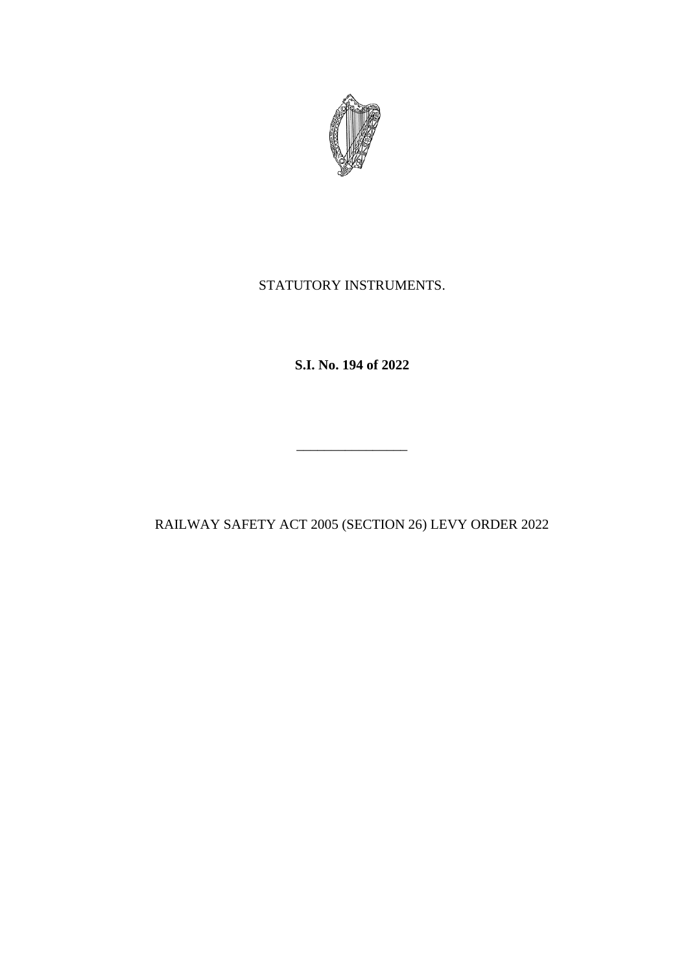

# STATUTORY INSTRUMENTS.

**S.I. No. 194 of 2022**

RAILWAY SAFETY ACT 2005 (SECTION 26) LEVY ORDER 2022

\_\_\_\_\_\_\_\_\_\_\_\_\_\_\_\_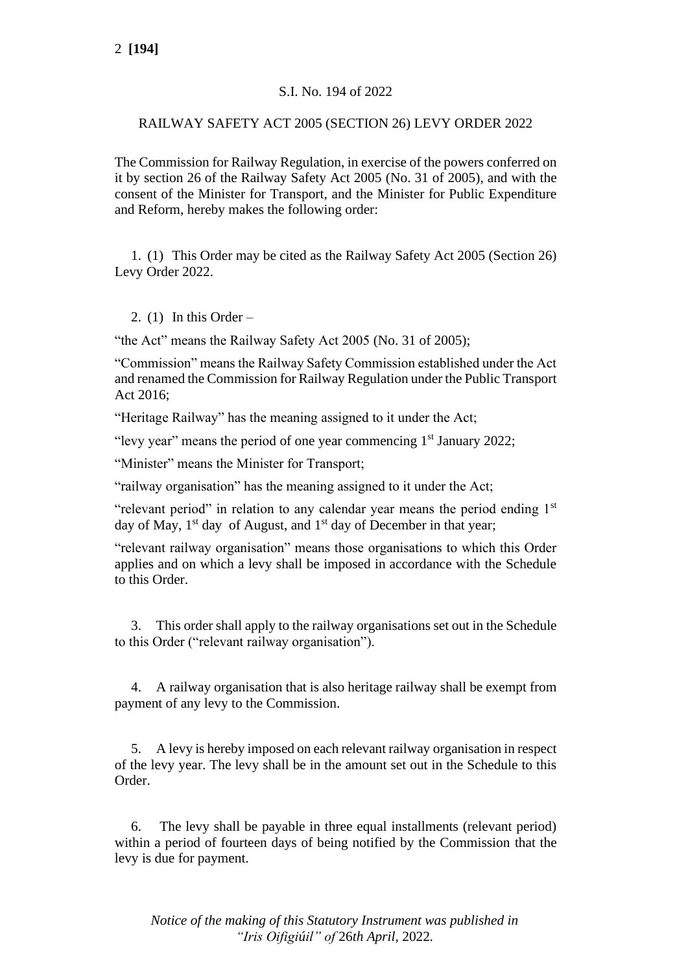### S.I. No. 194 of 2022

#### RAILWAY SAFETY ACT 2005 (SECTION 26) LEVY ORDER 2022

The Commission for Railway Regulation, in exercise of the powers conferred on it by section 26 of the Railway Safety Act 2005 (No. 31 of 2005), and with the consent of the Minister for Transport, and the Minister for Public Expenditure and Reform, hereby makes the following order:

1. (1) This Order may be cited as the Railway Safety Act 2005 (Section 26) Levy Order 2022.

2.  $(1)$  In this Order –

"the Act" means the Railway Safety Act 2005 (No. 31 of 2005);

"Commission" means the Railway Safety Commission established under the Act and renamed the Commission for Railway Regulation under the Public Transport Act 2016;

"Heritage Railway" has the meaning assigned to it under the Act;

"levy year" means the period of one year commencing  $1<sup>st</sup>$  January 2022;

"Minister" means the Minister for Transport;

"railway organisation" has the meaning assigned to it under the Act;

"relevant period" in relation to any calendar year means the period ending  $1<sup>st</sup>$ day of May,  $1<sup>st</sup>$  day of August, and  $1<sup>st</sup>$  day of December in that year;

"relevant railway organisation" means those organisations to which this Order applies and on which a levy shall be imposed in accordance with the Schedule to this Order.

3. This order shall apply to the railway organisations set out in the Schedule to this Order ("relevant railway organisation").

4. A railway organisation that is also heritage railway shall be exempt from payment of any levy to the Commission.

5. A levy is hereby imposed on each relevant railway organisation in respect of the levy year. The levy shall be in the amount set out in the Schedule to this Order.

6. The levy shall be payable in three equal installments (relevant period) within a period of fourteen days of being notified by the Commission that the levy is due for payment.

*Notice of the making of this Statutory Instrument was published in "Iris Oifigiúil" of* 26*th April,* 2022*.*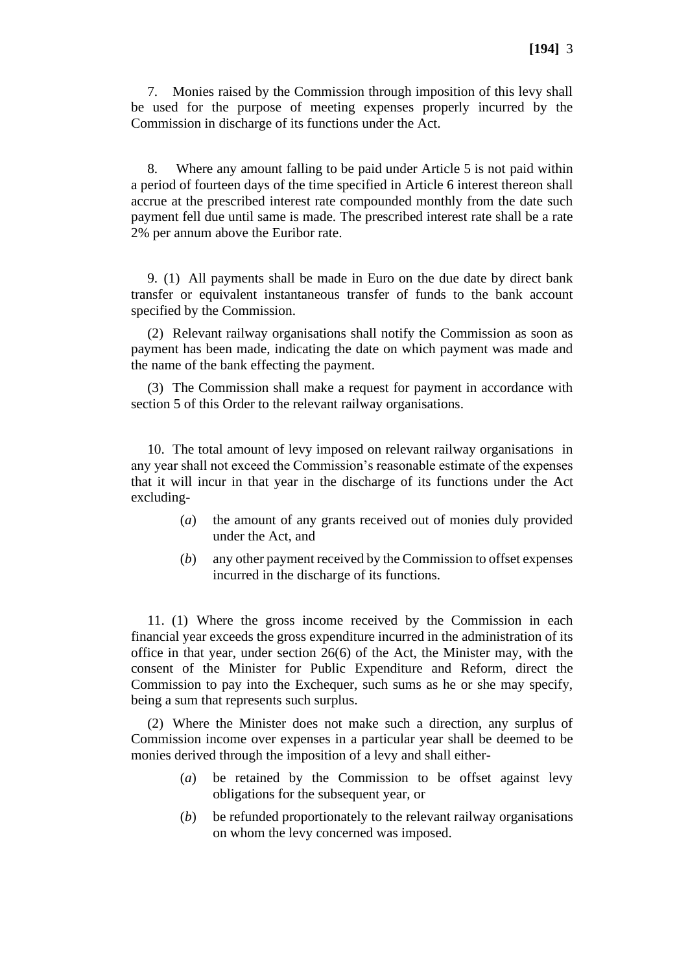7. Monies raised by the Commission through imposition of this levy shall be used for the purpose of meeting expenses properly incurred by the Commission in discharge of its functions under the Act.

8. Where any amount falling to be paid under Article 5 is not paid within a period of fourteen days of the time specified in Article 6 interest thereon shall accrue at the prescribed interest rate compounded monthly from the date such payment fell due until same is made. The prescribed interest rate shall be a rate 2% per annum above the Euribor rate.

9. (1) All payments shall be made in Euro on the due date by direct bank transfer or equivalent instantaneous transfer of funds to the bank account specified by the Commission.

(2) Relevant railway organisations shall notify the Commission as soon as payment has been made, indicating the date on which payment was made and the name of the bank effecting the payment.

(3) The Commission shall make a request for payment in accordance with section 5 of this Order to the relevant railway organisations.

10. The total amount of levy imposed on relevant railway organisations in any year shall not exceed the Commission's reasonable estimate of the expenses that it will incur in that year in the discharge of its functions under the Act excluding-

- (*a*) the amount of any grants received out of monies duly provided under the Act, and
- (*b*) any other payment received by the Commission to offset expenses incurred in the discharge of its functions.

11. (1) Where the gross income received by the Commission in each financial year exceeds the gross expenditure incurred in the administration of its office in that year, under section 26(6) of the Act, the Minister may, with the consent of the Minister for Public Expenditure and Reform, direct the Commission to pay into the Exchequer, such sums as he or she may specify, being a sum that represents such surplus.

(2) Where the Minister does not make such a direction, any surplus of Commission income over expenses in a particular year shall be deemed to be monies derived through the imposition of a levy and shall either-

- (*a*) be retained by the Commission to be offset against levy obligations for the subsequent year, or
- (*b*) be refunded proportionately to the relevant railway organisations on whom the levy concerned was imposed.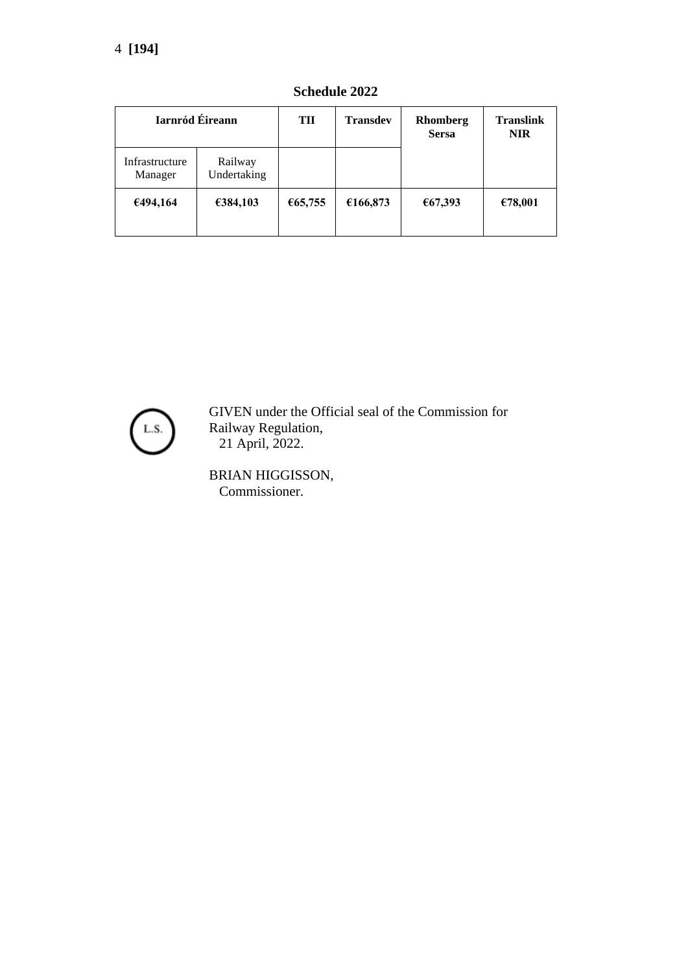| Iarnród Éireann           |                        | TII     | <b>Transdev</b> | Rhomberg<br><b>Sersa</b> | <b>Translink</b><br><b>NIR</b> |
|---------------------------|------------------------|---------|-----------------|--------------------------|--------------------------------|
| Infrastructure<br>Manager | Railway<br>Undertaking |         |                 |                          |                                |
| €494,164                  | €384,103               | €65,755 | €166,873        | €67,393                  | €78,001                        |

**Schedule 2022**



GIVEN under the Official seal of the Commission for Railway Regulation, 21 April, 2022.

BRIAN HIGGISSON, Commissioner.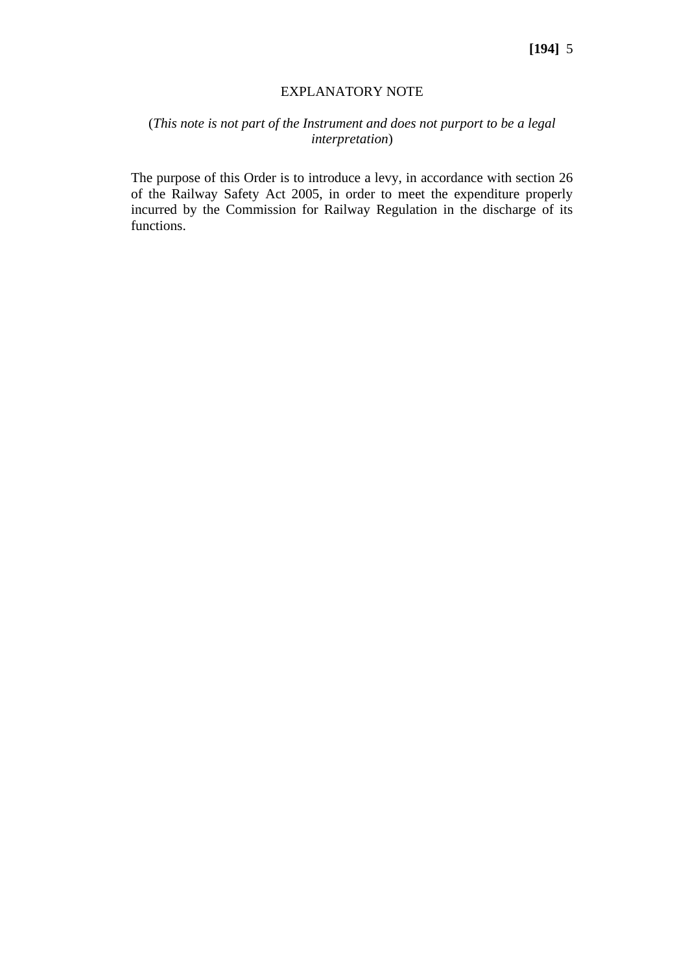#### EXPLANATORY NOTE

## (*This note is not part of the Instrument and does not purport to be a legal interpretation*)

The purpose of this Order is to introduce a levy, in accordance with section 26 of the Railway Safety Act 2005, in order to meet the expenditure properly incurred by the Commission for Railway Regulation in the discharge of its functions.